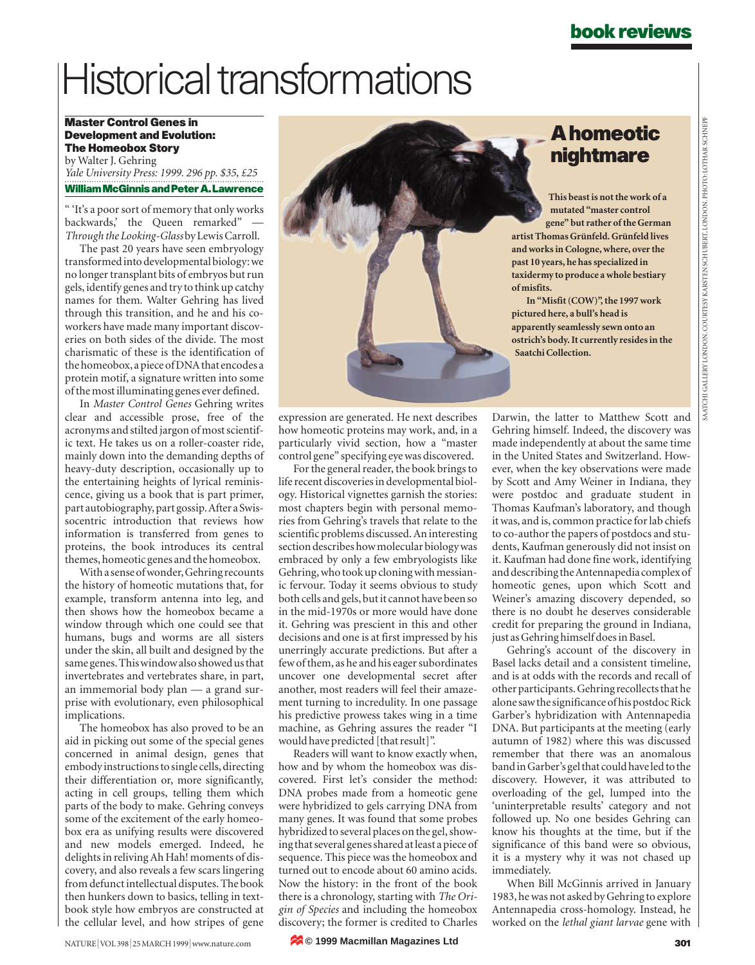# Historical transformations

#### **Master Control Genes in Development and Evolution: The Homeobox Story**

by Walter J. Gehring *Yale University Press: 1999. 296 pp. \$35, £25* **William McGinnis and Peter A. Lawrence**

" 'It's a poor sort of memory that only works backwards,' the Queen remarked" *Through the Looking-Glass* by Lewis Carroll.

The past 20 years have seen embryology transformed into developmental biology: we no longer transplant bits of embryos but run gels, identify genes and try to think up catchy names for them. Walter Gehring has lived through this transition, and he and his coworkers have made many important discoveries on both sides of the divide. The most charismatic of these is the identification of the homeobox, a piece of DNA that encodes a protein motif, a signature written into some of the most illuminating genes ever defined.

In *Master Control Genes* Gehring writes clear and accessible prose, free of the acronyms and stilted jargon of most scientific text. He takes us on a roller-coaster ride, mainly down into the demanding depths of heavy-duty description, occasionally up to the entertaining heights of lyrical reminiscence, giving us a book that is part primer, part autobiography, part gossip. After a Swissocentric introduction that reviews how information is transferred from genes to proteins, the book introduces its central themes, homeotic genes and the homeobox.

With a sense of wonder, Gehring recounts the history of homeotic mutations that, for example, transform antenna into leg, and then shows how the homeobox became a window through which one could see that humans, bugs and worms are all sisters under the skin, all built and designed by the same genes. This window also showed us that invertebrates and vertebrates share, in part, an immemorial body plan — a grand surprise with evolutionary, even philosophical implications.

The homeobox has also proved to be an aid in picking out some of the special genes concerned in animal design, genes that embody instructions to single cells, directing their differentiation or, more significantly, acting in cell groups, telling them which parts of the body to make. Gehring conveys some of the excitement of the early homeobox era as unifying results were discovered and new models emerged. Indeed, he delights in reliving Ah Hah! moments of discovery, and also reveals a few scars lingering from defunct intellectual disputes. The book then hunkers down to basics, telling in textbook style how embryos are constructed at the cellular level, and how stripes of gene

## **A homeotic nightmare**

**This beast is not the work of a mutated "master control gene" but rather of the German artist Thomas Grünfeld. Grünfeld lives and works in Cologne, where, over the past 10 years, he has specialized in taxidermy to produce a whole bestiary of misfits.** 

**In "Misfit (COW)", the 1997 work pictured here, a bull's head is apparently seamlessly sewn onto an ostrich's body. It currently resides in the Saatchi Collection.**

expression are generated. He next describes how homeotic proteins may work, and, in a particularly vivid section, how a "master control gene" specifying eye was discovered.

For the general reader, the book brings to life recent discoveries in developmental biology. Historical vignettes garnish the stories: most chapters begin with personal memories from Gehring's travels that relate to the scientific problems discussed. An interesting section describes how molecular biology was embraced by only a few embryologists like Gehring, who took up cloning with messianic fervour. Today it seems obvious to study both cells and gels, but it cannot have been so in the mid-1970s or more would have done it. Gehring was prescient in this and other decisions and one is at first impressed by his unerringly accurate predictions. But after a few of them, as he and his eager subordinates uncover one developmental secret after another, most readers will feel their amazement turning to incredulity. In one passage his predictive prowess takes wing in a time machine, as Gehring assures the reader "I would have predicted [that result]".

Readers will want to know exactly when, how and by whom the homeobox was discovered. First let's consider the method: DNA probes made from a homeotic gene were hybridized to gels carrying DNA from many genes. It was found that some probes hybridized to several places on the gel, showing that several genes shared at least a piece of sequence. This piece was the homeobox and turned out to encode about 60 amino acids. Now the history: in the front of the book there is a chronology, starting with *The Origin of Species* and including the homeobox discovery; the former is credited to Charles

Darwin, the latter to Matthew Scott and Gehring himself. Indeed, the discovery was made independently at about the same time in the United States and Switzerland. However, when the key observations were made by Scott and Amy Weiner in Indiana, they were postdoc and graduate student in Thomas Kaufman's laboratory, and though it was, and is, common practice for lab chiefs to co-author the papers of postdocs and students, Kaufman generously did not insist on it. Kaufman had done fine work, identifying and describing the Antennapedia complex of homeotic genes, upon which Scott and Weiner's amazing discovery depended, so there is no doubt he deserves considerable credit for preparing the ground in Indiana, just as Gehring himself does in Basel.

Gehring's account of the discovery in Basel lacks detail and a consistent timeline, and is at odds with the records and recall of other participants. Gehring recollects that he alone saw the significance of his postdoc Rick Garber's hybridization with Antennapedia DNA. But participants at the meeting (early autumn of 1982) where this was discussed remember that there was an anomalous band in Garber's gel that could have led to the discovery. However, it was attributed to overloading of the gel, lumped into the 'uninterpretable results' category and not followed up. No one besides Gehring can know his thoughts at the time, but if the significance of this band were so obvious, it is a mystery why it was not chased up immediately.

When Bill McGinnis arrived in January 1983, he was not asked by Gehring to explore Antennapedia cross-homology. Instead, he worked on the *lethal giant larvae* gene with